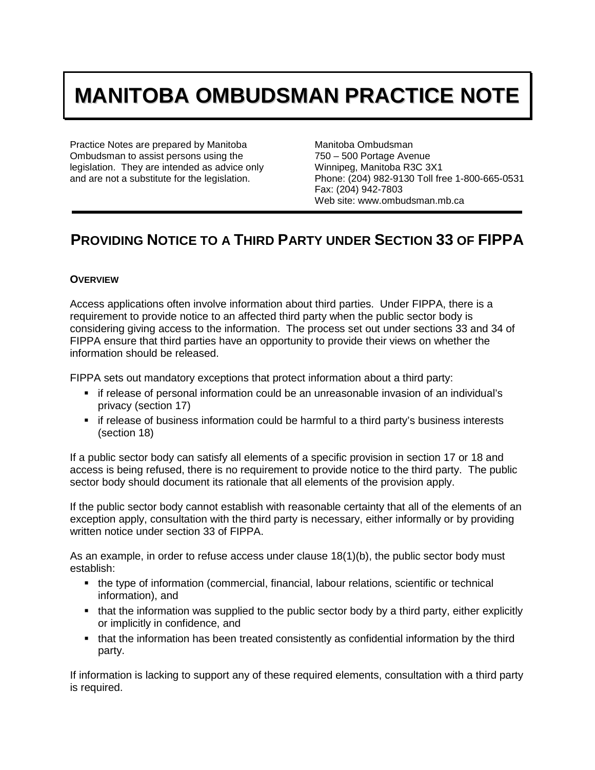# **MANITOBA OMBUDSMAN PRACTICE NOTE**

Practice Notes are prepared by Manitoba Ombudsman to assist persons using the legislation. They are intended as advice only and are not a substitute for the legislation.

Manitoba Ombudsman 750 – 500 Portage Avenue Winnipeg, Manitoba R3C 3X1 Phone: (204) 982-9130 Toll free 1-800-665-0531 Fax: (204) 942-7803 Web site: www.ombudsman.mb.ca

# **PROVIDING NOTICE TO A THIRD PARTY UNDER SECTION 33 OF FIPPA**

# **OVERVIEW**

Access applications often involve information about third parties. Under FIPPA, there is a requirement to provide notice to an affected third party when the public sector body is considering giving access to the information. The process set out under sections 33 and 34 of FIPPA ensure that third parties have an opportunity to provide their views on whether the information should be released.

FIPPA sets out mandatory exceptions that protect information about a third party:

- if release of personal information could be an unreasonable invasion of an individual's privacy (section 17)
- if release of business information could be harmful to a third party's business interests (section 18)

If a public sector body can satisfy all elements of a specific provision in section 17 or 18 and access is being refused, there is no requirement to provide notice to the third party. The public sector body should document its rationale that all elements of the provision apply.

If the public sector body cannot establish with reasonable certainty that all of the elements of an exception apply, consultation with the third party is necessary, either informally or by providing written notice under section 33 of FIPPA.

As an example, in order to refuse access under clause 18(1)(b), the public sector body must establish:

- the type of information (commercial, financial, labour relations, scientific or technical information), and
- that the information was supplied to the public sector body by a third party, either explicitly or implicitly in confidence, and
- that the information has been treated consistently as confidential information by the third party.

If information is lacking to support any of these required elements, consultation with a third party is required.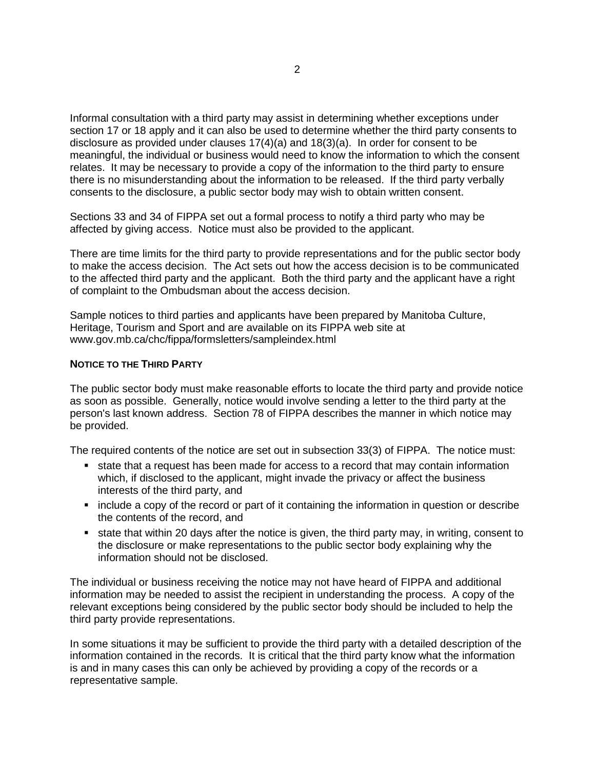Informal consultation with a third party may assist in determining whether exceptions under section 17 or 18 apply and it can also be used to determine whether the third party consents to disclosure as provided under clauses  $17(4)(a)$  and  $18(3)(a)$ . In order for consent to be meaningful, the individual or business would need to know the information to which the consent relates. It may be necessary to provide a copy of the information to the third party to ensure there is no misunderstanding about the information to be released. If the third party verbally consents to the disclosure, a public sector body may wish to obtain written consent.

Sections 33 and 34 of FIPPA set out a formal process to notify a third party who may be affected by giving access. Notice must also be provided to the applicant.

There are time limits for the third party to provide representations and for the public sector body to make the access decision. The Act sets out how the access decision is to be communicated to the affected third party and the applicant. Both the third party and the applicant have a right of complaint to the Ombudsman about the access decision.

Sample notices to third parties and applicants have been prepared by Manitoba Culture, Heritage, Tourism and Sport and are available on its FIPPA web site at www.gov.mb.ca/chc/fippa/formsletters/sampleindex.html

# **NOTICE TO THE THIRD PARTY**

The public sector body must make reasonable efforts to locate the third party and provide notice as soon as possible. Generally, notice would involve sending a letter to the third party at the person's last known address. Section 78 of FIPPA describes the manner in which notice may be provided.

The required contents of the notice are set out in subsection 33(3) of FIPPA. The notice must:

- **state that a request has been made for access to a record that may contain information** which, if disclosed to the applicant, might invade the privacy or affect the business interests of the third party, and
- include a copy of the record or part of it containing the information in question or describe the contents of the record, and
- state that within 20 days after the notice is given, the third party may, in writing, consent to the disclosure or make representations to the public sector body explaining why the information should not be disclosed.

The individual or business receiving the notice may not have heard of FIPPA and additional information may be needed to assist the recipient in understanding the process. A copy of the relevant exceptions being considered by the public sector body should be included to help the third party provide representations.

In some situations it may be sufficient to provide the third party with a detailed description of the information contained in the records. It is critical that the third party know what the information is and in many cases this can only be achieved by providing a copy of the records or a representative sample.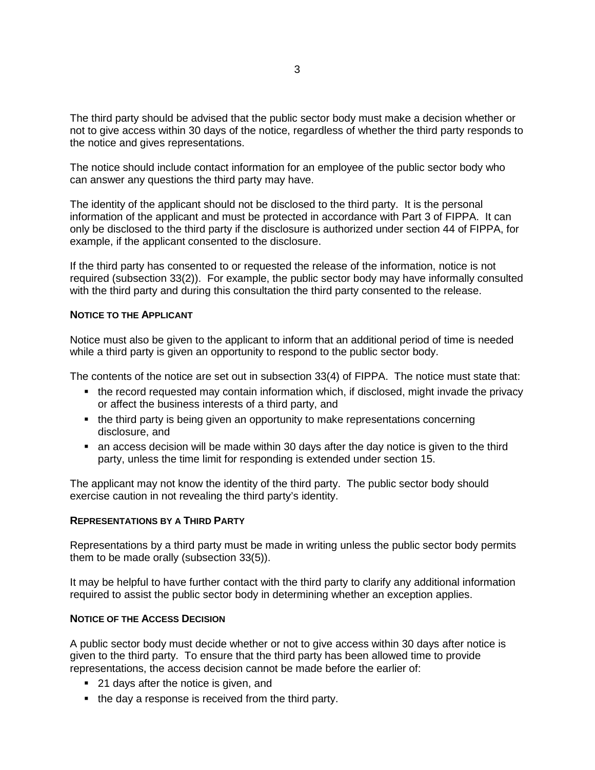The third party should be advised that the public sector body must make a decision whether or not to give access within 30 days of the notice, regardless of whether the third party responds to the notice and gives representations.

The notice should include contact information for an employee of the public sector body who can answer any questions the third party may have.

The identity of the applicant should not be disclosed to the third party. It is the personal information of the applicant and must be protected in accordance with Part 3 of FIPPA. It can only be disclosed to the third party if the disclosure is authorized under section 44 of FIPPA, for example, if the applicant consented to the disclosure.

If the third party has consented to or requested the release of the information, notice is not required (subsection 33(2)). For example, the public sector body may have informally consulted with the third party and during this consultation the third party consented to the release.

# **NOTICE TO THE APPLICANT**

Notice must also be given to the applicant to inform that an additional period of time is needed while a third party is given an opportunity to respond to the public sector body.

The contents of the notice are set out in subsection 33(4) of FIPPA. The notice must state that:

- the record requested may contain information which, if disclosed, might invade the privacy or affect the business interests of a third party, and
- the third party is being given an opportunity to make representations concerning disclosure, and
- an access decision will be made within 30 days after the day notice is given to the third party, unless the time limit for responding is extended under section 15.

The applicant may not know the identity of the third party. The public sector body should exercise caution in not revealing the third party's identity.

#### **REPRESENTATIONS BY A THIRD PARTY**

Representations by a third party must be made in writing unless the public sector body permits them to be made orally (subsection 33(5)).

It may be helpful to have further contact with the third party to clarify any additional information required to assist the public sector body in determining whether an exception applies.

#### **NOTICE OF THE ACCESS DECISION**

A public sector body must decide whether or not to give access within 30 days after notice is given to the third party. To ensure that the third party has been allowed time to provide representations, the access decision cannot be made before the earlier of:

- 21 days after the notice is given, and
- the day a response is received from the third party.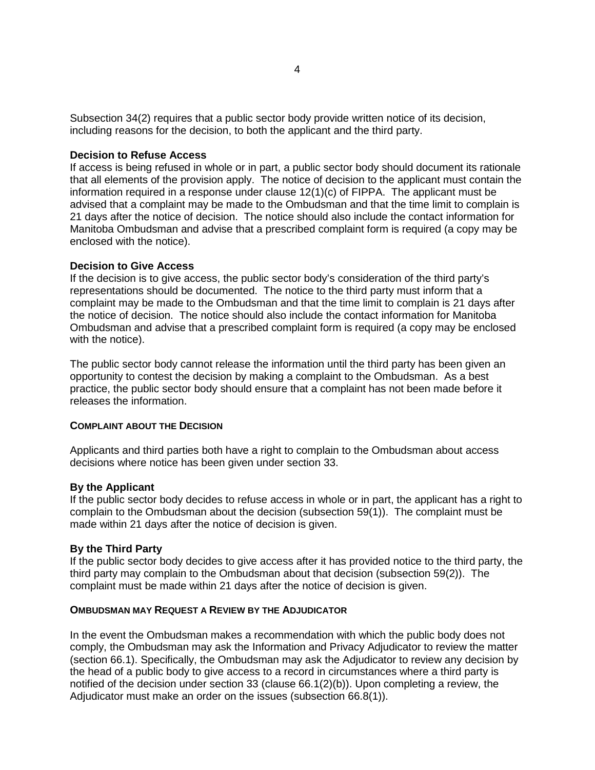Subsection 34(2) requires that a public sector body provide written notice of its decision, including reasons for the decision, to both the applicant and the third party.

# **Decision to Refuse Access**

If access is being refused in whole or in part, a public sector body should document its rationale that all elements of the provision apply. The notice of decision to the applicant must contain the information required in a response under clause 12(1)(c) of FIPPA. The applicant must be advised that a complaint may be made to the Ombudsman and that the time limit to complain is 21 days after the notice of decision. The notice should also include the contact information for Manitoba Ombudsman and advise that a prescribed complaint form is required (a copy may be enclosed with the notice).

#### **Decision to Give Access**

If the decision is to give access, the public sector body's consideration of the third party's representations should be documented. The notice to the third party must inform that a complaint may be made to the Ombudsman and that the time limit to complain is 21 days after the notice of decision. The notice should also include the contact information for Manitoba Ombudsman and advise that a prescribed complaint form is required (a copy may be enclosed with the notice).

The public sector body cannot release the information until the third party has been given an opportunity to contest the decision by making a complaint to the Ombudsman. As a best practice, the public sector body should ensure that a complaint has not been made before it releases the information.

#### **COMPLAINT ABOUT THE DECISION**

Applicants and third parties both have a right to complain to the Ombudsman about access decisions where notice has been given under section 33.

#### **By the Applicant**

If the public sector body decides to refuse access in whole or in part, the applicant has a right to complain to the Ombudsman about the decision (subsection 59(1)). The complaint must be made within 21 days after the notice of decision is given.

#### **By the Third Party**

If the public sector body decides to give access after it has provided notice to the third party, the third party may complain to the Ombudsman about that decision (subsection 59(2)). The complaint must be made within 21 days after the notice of decision is given.

# **OMBUDSMAN MAY REQUEST A REVIEW BY THE ADJUDICATOR**

In the event the Ombudsman makes a recommendation with which the public body does not comply, the Ombudsman may ask the Information and Privacy Adjudicator to review the matter (section 66.1). Specifically, the Ombudsman may ask the Adjudicator to review any decision by the head of a public body to give access to a record in circumstances where a third party is notified of the decision under section 33 (clause 66.1(2)(b)). Upon completing a review, the Adjudicator must make an order on the issues (subsection 66.8(1)).